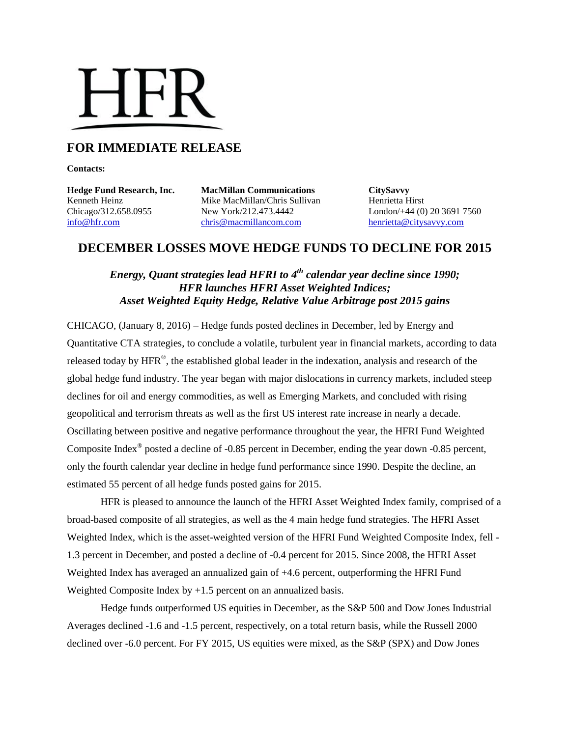# HFR.

# **FOR IMMEDIATE RELEASE**

**Contacts:**

**Hedge Fund Research, Inc. MacMillan Communications CitySavvy** Kenneth Heinz **Mike MacMillan/Chris Sullivan** Henrietta Hirst Chicago/312.658.0955 New York/212.473.4442 London/+44 (0) 20 3691 7560 [info@hfr.com](mailto:info@hfr.com) [chris@macmillancom.com](mailto:chris@macmillancom.com) [henrietta@citysavvy.com](mailto:henrietta@citysavvy.com)

# **DECEMBER LOSSES MOVE HEDGE FUNDS TO DECLINE FOR 2015**

### *Energy, Quant strategies lead HFRI to 4 th calendar year decline since 1990; HFR launches HFRI Asset Weighted Indices; Asset Weighted Equity Hedge, Relative Value Arbitrage post 2015 gains*

CHICAGO, (January 8, 2016) – Hedge funds posted declines in December, led by Energy and Quantitative CTA strategies, to conclude a volatile, turbulent year in financial markets, according to data released today by  $HFR^{\circledast}$ , the established global leader in the indexation, analysis and research of the global hedge fund industry. The year began with major dislocations in currency markets, included steep declines for oil and energy commodities, as well as Emerging Markets, and concluded with rising geopolitical and terrorism threats as well as the first US interest rate increase in nearly a decade. Oscillating between positive and negative performance throughout the year, the HFRI Fund Weighted Composite Index<sup>®</sup> posted a decline of -0.85 percent in December, ending the year down -0.85 percent, only the fourth calendar year decline in hedge fund performance since 1990. Despite the decline, an estimated 55 percent of all hedge funds posted gains for 2015.

HFR is pleased to announce the launch of the HFRI Asset Weighted Index family, comprised of a broad-based composite of all strategies, as well as the 4 main hedge fund strategies. The HFRI Asset Weighted Index, which is the asset-weighted version of the HFRI Fund Weighted Composite Index, fell - 1.3 percent in December, and posted a decline of -0.4 percent for 2015. Since 2008, the HFRI Asset Weighted Index has averaged an annualized gain of +4.6 percent, outperforming the HFRI Fund Weighted Composite Index by  $+1.5$  percent on an annualized basis.

Hedge funds outperformed US equities in December, as the S&P 500 and Dow Jones Industrial Averages declined -1.6 and -1.5 percent, respectively, on a total return basis, while the Russell 2000 declined over -6.0 percent. For FY 2015, US equities were mixed, as the S&P (SPX) and Dow Jones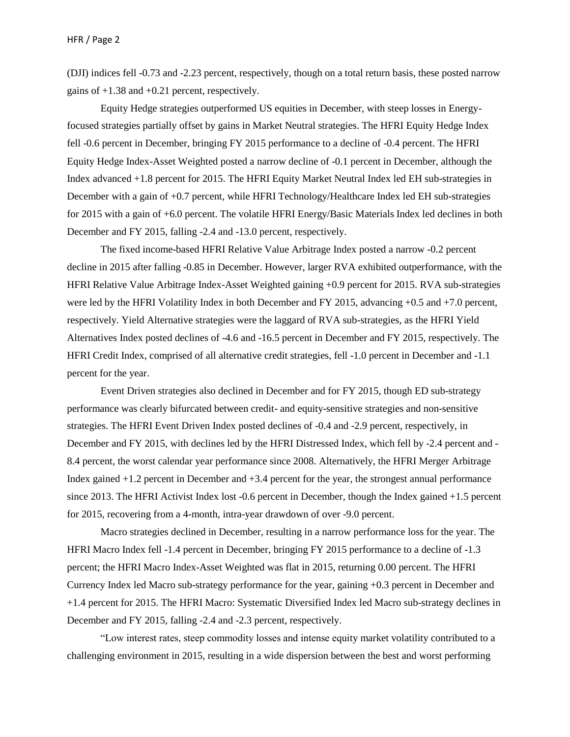(DJI) indices fell -0.73 and -2.23 percent, respectively, though on a total return basis, these posted narrow gains of +1.38 and +0.21 percent, respectively.

Equity Hedge strategies outperformed US equities in December, with steep losses in Energyfocused strategies partially offset by gains in Market Neutral strategies. The HFRI Equity Hedge Index fell -0.6 percent in December, bringing FY 2015 performance to a decline of -0.4 percent. The HFRI Equity Hedge Index-Asset Weighted posted a narrow decline of -0.1 percent in December, although the Index advanced +1.8 percent for 2015. The HFRI Equity Market Neutral Index led EH sub-strategies in December with a gain of +0.7 percent, while HFRI Technology/Healthcare Index led EH sub-strategies for 2015 with a gain of +6.0 percent. The volatile HFRI Energy/Basic Materials Index led declines in both December and FY 2015, falling -2.4 and -13.0 percent, respectively.

The fixed income-based HFRI Relative Value Arbitrage Index posted a narrow -0.2 percent decline in 2015 after falling -0.85 in December. However, larger RVA exhibited outperformance, with the HFRI Relative Value Arbitrage Index-Asset Weighted gaining +0.9 percent for 2015. RVA sub-strategies were led by the HFRI Volatility Index in both December and FY 2015, advancing +0.5 and +7.0 percent, respectively. Yield Alternative strategies were the laggard of RVA sub-strategies, as the HFRI Yield Alternatives Index posted declines of -4.6 and -16.5 percent in December and FY 2015, respectively. The HFRI Credit Index, comprised of all alternative credit strategies, fell -1.0 percent in December and -1.1 percent for the year.

Event Driven strategies also declined in December and for FY 2015, though ED sub-strategy performance was clearly bifurcated between credit- and equity-sensitive strategies and non-sensitive strategies. The HFRI Event Driven Index posted declines of -0.4 and -2.9 percent, respectively, in December and FY 2015, with declines led by the HFRI Distressed Index, which fell by -2.4 percent and - 8.4 percent, the worst calendar year performance since 2008. Alternatively, the HFRI Merger Arbitrage Index gained +1.2 percent in December and +3.4 percent for the year, the strongest annual performance since 2013. The HFRI Activist Index lost -0.6 percent in December, though the Index gained +1.5 percent for 2015, recovering from a 4-month, intra-year drawdown of over -9.0 percent.

Macro strategies declined in December, resulting in a narrow performance loss for the year. The HFRI Macro Index fell -1.4 percent in December, bringing FY 2015 performance to a decline of -1.3 percent; the HFRI Macro Index-Asset Weighted was flat in 2015, returning 0.00 percent. The HFRI Currency Index led Macro sub-strategy performance for the year, gaining +0.3 percent in December and +1.4 percent for 2015. The HFRI Macro: Systematic Diversified Index led Macro sub-strategy declines in December and FY 2015, falling -2.4 and -2.3 percent, respectively.

"Low interest rates, steep commodity losses and intense equity market volatility contributed to a challenging environment in 2015, resulting in a wide dispersion between the best and worst performing